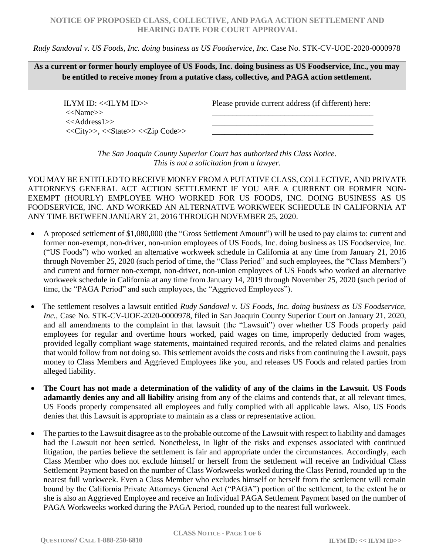## **NOTICE OF PROPOSED CLASS, COLLECTIVE, AND PAGA ACTION SETTLEMENT AND HEARING DATE FOR COURT APPROVAL**

### *Rudy Sandoval v. US Foods, Inc. doing business as US Foodservice, Inc.* Case No. STK-CV-UOE-2020-0000978

**As a current or former hourly employee of US Foods, Inc. doing business as US Foodservice, Inc., you may be entitled to receive money from a putative class, collective, and PAGA action settlement.**

ILYM ID:  $<<$ ILYM ID $>>$ <<Name>> <<Address1>> <<City>>, <<State>> <<Zip Code>> Please provide current address (if different) here: \_\_\_\_\_\_\_\_\_\_\_\_\_\_\_\_\_\_\_\_\_\_\_\_\_\_\_\_\_\_\_\_\_\_\_\_\_\_\_\_

\_\_\_\_\_\_\_\_\_\_\_\_\_\_\_\_\_\_\_\_\_\_\_\_\_\_\_\_\_\_\_\_\_\_\_\_\_\_\_\_ \_\_\_\_\_\_\_\_\_\_\_\_\_\_\_\_\_\_\_\_\_\_\_\_\_\_\_\_\_\_\_\_\_\_\_\_\_\_\_\_

*The San Joaquin County Superior Court has authorized this Class Notice. This is not a solicitation from a lawyer.*

YOU MAY BE ENTITLED TO RECEIVE MONEY FROM A PUTATIVE CLASS, COLLECTIVE, AND PRIVATE ATTORNEYS GENERAL ACT ACTION SETTLEMENT IF YOU ARE A CURRENT OR FORMER NON-EXEMPT (HOURLY) EMPLOYEE WHO WORKED FOR US FOODS, INC. DOING BUSINESS AS US FOODSERVICE, INC. AND WORKED AN ALTERNATIVE WORKWEEK SCHEDULE IN CALIFORNIA AT ANY TIME BETWEEN JANUARY 21, 2016 THROUGH NOVEMBER 25, 2020.

- A proposed settlement of \$1,080,000 (the "Gross Settlement Amount") will be used to pay claims to: current and former non-exempt, non-driver, non-union employees of US Foods, Inc. doing business as US Foodservice, Inc. ("US Foods") who worked an alternative workweek schedule in California at any time from January 21, 2016 through November 25, 2020 (such period of time, the "Class Period" and such employees, the "Class Members") and current and former non-exempt, non-driver, non-union employees of US Foods who worked an alternative workweek schedule in California at any time from January 14, 2019 through November 25, 2020 (such period of time, the "PAGA Period" and such employees, the "Aggrieved Employees").
- The settlement resolves a lawsuit entitled *Rudy Sandoval v. US Foods, Inc. doing business as US Foodservice, Inc.,* Case No. STK-CV-UOE-2020-0000978, filed in San Joaquin County Superior Court on January 21, 2020, and all amendments to the complaint in that lawsuit (the "Lawsuit") over whether US Foods properly paid employees for regular and overtime hours worked, paid wages on time, improperly deducted from wages, provided legally compliant wage statements, maintained required records, and the related claims and penalties that would follow from not doing so. This settlement avoids the costs and risks from continuing the Lawsuit, pays money to Class Members and Aggrieved Employees like you, and releases US Foods and related parties from alleged liability.
- **The Court has not made a determination of the validity of any of the claims in the Lawsuit. US Foods adamantly denies any and all liability** arising from any of the claims and contends that, at all relevant times, US Foods properly compensated all employees and fully complied with all applicable laws. Also, US Foods denies that this Lawsuit is appropriate to maintain as a class or representative action.
- The parties to the Lawsuit disagree as to the probable outcome of the Lawsuit with respect to liability and damages had the Lawsuit not been settled. Nonetheless, in light of the risks and expenses associated with continued litigation, the parties believe the settlement is fair and appropriate under the circumstances. Accordingly, each Class Member who does not exclude himself or herself from the settlement will receive an Individual Class Settlement Payment based on the number of Class Workweeks worked during the Class Period, rounded up to the nearest full workweek. Even a Class Member who excludes himself or herself from the settlement will remain bound by the California Private Attorneys General Act ("PAGA") portion of the settlement, to the extent he or she is also an Aggrieved Employee and receive an Individual PAGA Settlement Payment based on the number of PAGA Workweeks worked during the PAGA Period, rounded up to the nearest full workweek.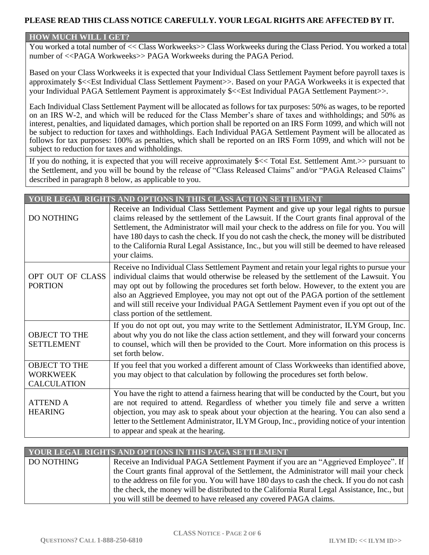# **PLEASE READ THIS CLASS NOTICE CAREFULLY. YOUR LEGAL RIGHTS ARE AFFECTED BY IT.**

### **HOW MUCH WILL I GET?**

You worked a total number of << Class Workweeks>> Class Workweeks during the Class Period. You worked a total number of <<PAGA Workweeks>> PAGA Workweeks during the PAGA Period.

Based on your Class Workweeks it is expected that your Individual Class Settlement Payment before payroll taxes is approximately \$<<Est Individual Class Settlement Payment>>. Based on your PAGA Workweeks it is expected that your Individual PAGA Settlement Payment is approximately \$<<Est Individual PAGA Settlement Payment>>.

Each Individual Class Settlement Payment will be allocated as follows for tax purposes: 50% as wages, to be reported on an IRS W-2, and which will be reduced for the Class Member's share of taxes and withholdings; and 50% as interest, penalties, and liquidated damages, which portion shall be reported on an IRS Form 1099, and which will not be subject to reduction for taxes and withholdings. Each Individual PAGA Settlement Payment will be allocated as follows for tax purposes: 100% as penalties, which shall be reported on an IRS Form 1099, and which will not be subject to reduction for taxes and withholdings.

If you do nothing, it is expected that you will receive approximately \$<< Total Est. Settlement Amt.>> pursuant to the Settlement, and you will be bound by the release of "Class Released Claims" and/or "PAGA Released Claims" described in paragraph 8 below, as applicable to you.

| YOUR LEGAL RIGHTS AND OPTIONS IN THIS CLASS ACTION SETTIEMENT |                                                                                                                                                                                                                                                                                                                                                                                                                                                                                                             |  |
|---------------------------------------------------------------|-------------------------------------------------------------------------------------------------------------------------------------------------------------------------------------------------------------------------------------------------------------------------------------------------------------------------------------------------------------------------------------------------------------------------------------------------------------------------------------------------------------|--|
| <b>DO NOTHING</b>                                             | Receive an Individual Class Settlement Payment and give up your legal rights to pursue<br>claims released by the settlement of the Lawsuit. If the Court grants final approval of the<br>Settlement, the Administrator will mail your check to the address on file for you. You will<br>have 180 days to cash the check. If you do not cash the check, the money will be distributed<br>to the California Rural Legal Assistance, Inc., but you will still be deemed to have released<br>your claims.       |  |
| OPT OUT OF CLASS<br><b>PORTION</b>                            | Receive no Individual Class Settlement Payment and retain your legal rights to pursue your<br>individual claims that would otherwise be released by the settlement of the Lawsuit. You<br>may opt out by following the procedures set forth below. However, to the extent you are<br>also an Aggrieved Employee, you may not opt out of the PAGA portion of the settlement<br>and will still receive your Individual PAGA Settlement Payment even if you opt out of the<br>class portion of the settlement. |  |
| <b>OBJECT TO THE</b><br><b>SETTLEMENT</b>                     | If you do not opt out, you may write to the Settlement Administrator, ILYM Group, Inc.<br>about why you do not like the class action settlement, and they will forward your concerns<br>to counsel, which will then be provided to the Court. More information on this process is<br>set forth below.                                                                                                                                                                                                       |  |
| <b>OBJECT TO THE</b><br><b>WORKWEEK</b><br><b>CALCULATION</b> | If you feel that you worked a different amount of Class Workweeks than identified above,<br>you may object to that calculation by following the procedures set forth below.                                                                                                                                                                                                                                                                                                                                 |  |
| <b>ATTEND A</b><br><b>HEARING</b>                             | You have the right to attend a fairness hearing that will be conducted by the Court, but you<br>are not required to attend. Regardless of whether you timely file and serve a written<br>objection, you may ask to speak about your objection at the hearing. You can also send a<br>letter to the Settlement Administrator, ILYM Group, Inc., providing notice of your intention<br>to appear and speak at the hearing.                                                                                    |  |

| <u>YOUR LEGAL RIGHTS AND OPTIONS IN THIS PAGA SETTLEMENT,</u> |                                                                                              |  |
|---------------------------------------------------------------|----------------------------------------------------------------------------------------------|--|
| <b>DO NOTHING</b>                                             | Receive an Individual PAGA Settlement Payment if you are an "Aggrieved Employee". If         |  |
|                                                               | the Court grants final approval of the Settlement, the Administrator will mail your check    |  |
|                                                               | to the address on file for you. You will have 180 days to cash the check. If you do not cash |  |
|                                                               | the check, the money will be distributed to the California Rural Legal Assistance, Inc., but |  |
|                                                               | you will still be deemed to have released any covered PAGA claims.                           |  |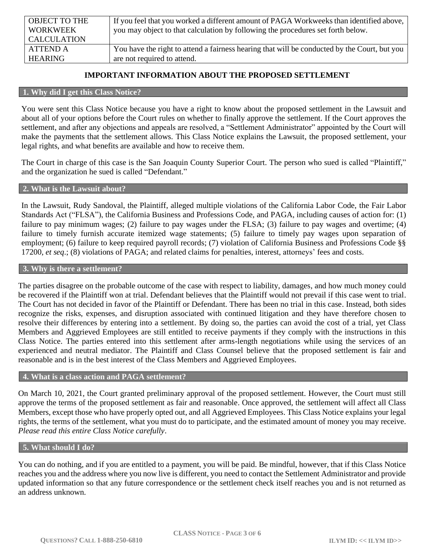| <b>OBJECT TO THE</b> | If you feel that you worked a different amount of PAGA Workweeks than identified above,      |
|----------------------|----------------------------------------------------------------------------------------------|
| WORKWEEK             | you may object to that calculation by following the procedures set forth below.              |
| <b>CALCULATION</b>   |                                                                                              |
| ATTEND A             | You have the right to attend a fairness hearing that will be conducted by the Court, but you |
| <b>HEARING</b>       | are not required to attend.                                                                  |

# **IMPORTANT INFORMATION ABOUT THE PROPOSED SETTLEMENT**

#### **1. Why did I get this Class Notice?**

You were sent this Class Notice because you have a right to know about the proposed settlement in the Lawsuit and about all of your options before the Court rules on whether to finally approve the settlement. If the Court approves the settlement, and after any objections and appeals are resolved, a "Settlement Administrator" appointed by the Court will make the payments that the settlement allows. This Class Notice explains the Lawsuit, the proposed settlement, your legal rights, and what benefits are available and how to receive them.

The Court in charge of this case is the San Joaquin County Superior Court. The person who sued is called "Plaintiff," and the organization he sued is called "Defendant."

#### **2. What is the Lawsuit about?**

In the Lawsuit, Rudy Sandoval, the Plaintiff, alleged multiple violations of the California Labor Code, the Fair Labor Standards Act ("FLSA"), the California Business and Professions Code, and PAGA, including causes of action for: (1) failure to pay minimum wages; (2) failure to pay wages under the FLSA; (3) failure to pay wages and overtime; (4) failure to timely furnish accurate itemized wage statements; (5) failure to timely pay wages upon separation of employment; (6) failure to keep required payroll records; (7) violation of California Business and Professions Code §§ 17200, *et seq*.; (8) violations of PAGA; and related claims for penalties, interest, attorneys' fees and costs.

#### **3. Why is there a settlement?**

The parties disagree on the probable outcome of the case with respect to liability, damages, and how much money could be recovered if the Plaintiff won at trial. Defendant believes that the Plaintiff would not prevail if this case went to trial. The Court has not decided in favor of the Plaintiff or Defendant. There has been no trial in this case. Instead, both sides recognize the risks, expenses, and disruption associated with continued litigation and they have therefore chosen to resolve their differences by entering into a settlement. By doing so, the parties can avoid the cost of a trial, yet Class Members and Aggrieved Employees are still entitled to receive payments if they comply with the instructions in this Class Notice. The parties entered into this settlement after arms-length negotiations while using the services of an experienced and neutral mediator. The Plaintiff and Class Counsel believe that the proposed settlement is fair and reasonable and is in the best interest of the Class Members and Aggrieved Employees.

### **4. What is a class action and PAGA settlement?**

On March 10, 2021, the Court granted preliminary approval of the proposed settlement. However, the Court must still approve the terms of the proposed settlement as fair and reasonable. Once approved, the settlement will affect all Class Members, except those who have properly opted out, and all Aggrieved Employees. This Class Notice explains your legal rights, the terms of the settlement, what you must do to participate, and the estimated amount of money you may receive. *Please read this entire Class Notice carefully*.

#### **5. What should I do?**

You can do nothing, and if you are entitled to a payment, you will be paid. Be mindful, however, that if this Class Notice reaches you and the address where you now live is different, you need to contact the Settlement Administrator and provide updated information so that any future correspondence or the settlement check itself reaches you and is not returned as an address unknown.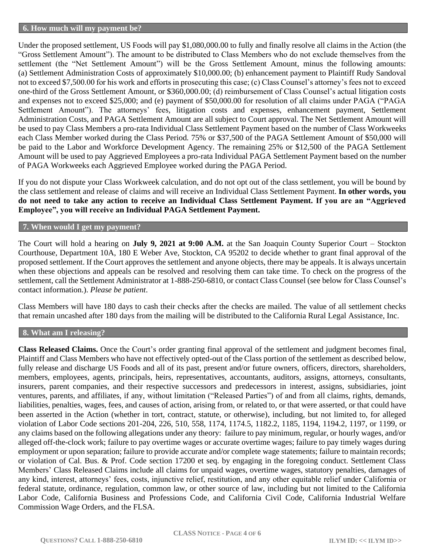#### **6. How much will my payment be?**

Under the proposed settlement, US Foods will pay \$1,080,000.00 to fully and finally resolve all claims in the Action (the "Gross Settlement Amount"). The amount to be distributed to Class Members who do not exclude themselves from the settlement (the "Net Settlement Amount") will be the Gross Settlement Amount, minus the following amounts: (a) Settlement Administration Costs of approximately \$10,000.00; (b) enhancement payment to Plaintiff Rudy Sandoval not to exceed \$7,500.00 for his work and efforts in prosecuting this case; (c) Class Counsel's attorney's fees not to exceed one-third of the Gross Settlement Amount, or \$360,000.00; (d) reimbursement of Class Counsel's actual litigation costs and expenses not to exceed \$25,000; and (e) payment of \$50,000.00 for resolution of all claims under PAGA ("PAGA Settlement Amount"). The attorneys' fees, litigation costs and expenses, enhancement payment, Settlement Administration Costs, and PAGA Settlement Amount are all subject to Court approval. The Net Settlement Amount will be used to pay Class Members a pro-rata Individual Class Settlement Payment based on the number of Class Workweeks each Class Member worked during the Class Period. 75% or \$37,500 of the PAGA Settlement Amount of \$50,000 will be paid to the Labor and Workforce Development Agency. The remaining 25% or \$12,500 of the PAGA Settlement Amount will be used to pay Aggrieved Employees a pro-rata Individual PAGA Settlement Payment based on the number of PAGA Workweeks each Aggrieved Employee worked during the PAGA Period.

If you do not dispute your Class Workweek calculation, and do not opt out of the class settlement, you will be bound by the class settlement and release of claims and will receive an Individual Class Settlement Payment. **In other words, you do not need to take any action to receive an Individual Class Settlement Payment. If you are an "Aggrieved Employee", you will receive an Individual PAGA Settlement Payment.** 

### **7. When would I get my payment?**

The Court will hold a hearing on **July 9, 2021 at 9:00 A.M.** at the San Joaquin County Superior Court – Stockton Courthouse, Department 10A, 180 E Weber Ave, Stockton, CA 95202 to decide whether to grant final approval of the proposed settlement. If the Court approves the settlement and anyone objects, there may be appeals. It is always uncertain when these objections and appeals can be resolved and resolving them can take time. To check on the progress of the settlement, call the Settlement Administrator at 1-888-250-6810, or contact Class Counsel (see below for Class Counsel's contact information.). *Please be patient*.

Class Members will have 180 days to cash their checks after the checks are mailed. The value of all settlement checks that remain uncashed after 180 days from the mailing will be distributed to the California Rural Legal Assistance, Inc.

## **8. What am I releasing?**

**Class Released Claims.** Once the Court's order granting final approval of the settlement and judgment becomes final, Plaintiff and Class Members who have not effectively opted-out of the Class portion of the settlement as described below, fully release and discharge US Foods and all of its past, present and/or future owners, officers, directors, shareholders, members, employees, agents, principals, heirs, representatives, accountants, auditors, assigns, attorneys, consultants, insurers, parent companies, and their respective successors and predecessors in interest, assigns, subsidiaries, joint ventures, parents, and affiliates, if any, without limitation ("Released Parties") of and from all claims, rights, demands, liabilities, penalties, wages, fees, and causes of action, arising from, or related to, or that were asserted, or that could have been asserted in the Action (whether in tort, contract, statute, or otherwise), including, but not limited to, for alleged violation of Labor Code sections 201-204, 226, 510, 558, 1174, 1174.5, 1182.2, 1185, 1194, 1194.2, 1197, or 1199, or any claims based on the following allegations under any theory: failure to pay minimum, regular, or hourly wages, and/or alleged off-the-clock work; failure to pay overtime wages or accurate overtime wages; failure to pay timely wages during employment or upon separation; failure to provide accurate and/or complete wage statements; failure to maintain records; or violation of Cal. Bus. & Prof. Code section 17200 et seq. by engaging in the foregoing conduct. Settlement Class Members' Class Released Claims include all claims for unpaid wages, overtime wages, statutory penalties, damages of any kind, interest, attorneys' fees, costs, injunctive relief, restitution, and any other equitable relief under California or federal statute, ordinance, regulation, common law, or other source of law, including but not limited to the California Labor Code, California Business and Professions Code, and California Civil Code, California Industrial Welfare Commission Wage Orders, and the FLSA.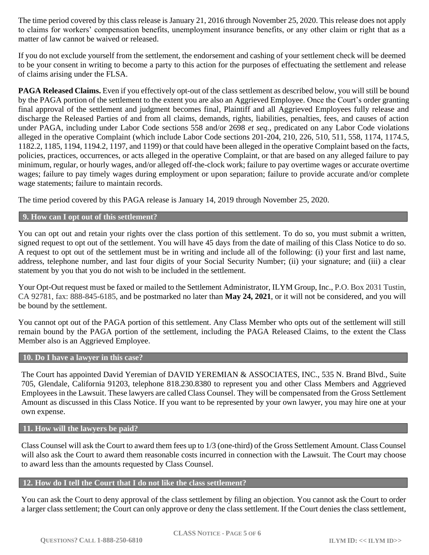The time period covered by this class release is January 21, 2016 through November 25, 2020. This release does not apply to claims for workers' compensation benefits, unemployment insurance benefits, or any other claim or right that as a matter of law cannot be waived or released.

If you do not exclude yourself from the settlement, the endorsement and cashing of your settlement check will be deemed to be your consent in writing to become a party to this action for the purposes of effectuating the settlement and release of claims arising under the FLSA.

**PAGA Released Claims.** Even if you effectively opt-out of the class settlement as described below, you will still be bound by the PAGA portion of the settlement to the extent you are also an Aggrieved Employee. Once the Court's order granting final approval of the settlement and judgment becomes final, Plaintiff and all Aggrieved Employees fully release and discharge the Released Parties of and from all claims, demands, rights, liabilities, penalties, fees, and causes of action under PAGA, including under Labor Code sections 558 and/or 2698 *et seq.*, predicated on any Labor Code violations alleged in the operative Complaint (which include Labor Code sections 201-204, 210, 226, 510, 511, 558, 1174, 1174.5, 1182.2, 1185, 1194, 1194.2, 1197, and 1199) or that could have been alleged in the operative Complaint based on the facts, policies, practices, occurrences, or acts alleged in the operative Complaint, or that are based on any alleged failure to pay minimum, regular, or hourly wages, and/or alleged off-the-clock work; failure to pay overtime wages or accurate overtime wages; failure to pay timely wages during employment or upon separation; failure to provide accurate and/or complete wage statements; failure to maintain records.

The time period covered by this PAGA release is January 14, 2019 through November 25, 2020.

## **9. How can I opt out of this settlement?**

You can opt out and retain your rights over the class portion of this settlement. To do so, you must submit a written, signed request to opt out of the settlement. You will have 45 days from the date of mailing of this Class Notice to do so. A request to opt out of the settlement must be in writing and include all of the following: (i) your first and last name, address, telephone number, and last four digits of your Social Security Number; (ii) your signature; and (iii) a clear statement by you that you do not wish to be included in the settlement.

Your Opt-Out request must be faxed or mailed to the Settlement Administrator, ILYM Group, Inc., P.O. Box 2031 Tustin, CA 92781, fax: 888-845-6185, and be postmarked no later than **May 24, 2021**, or it will not be considered, and you will be bound by the settlement.

You cannot opt out of the PAGA portion of this settlement. Any Class Member who opts out of the settlement will still remain bound by the PAGA portion of the settlement, including the PAGA Released Claims, to the extent the Class Member also is an Aggrieved Employee.

#### **10. Do I have a lawyer in this case?**

The Court has appointed David Yeremian of DAVID YEREMIAN & ASSOCIATES, INC., 535 N. Brand Blvd., Suite 705, Glendale, California 91203, telephone [818.230.8380](https://www.google.com/search?q=DAVID+YEREMIAN+%26+ASSOCIATES%2C+INC.&oq=DAVID+YEREMIAN+%26+ASSOCIATES%2C+INC.&aqs=chrome..69i57j0.527j0j7&sourceid=chrome&ie=UTF-8) to represent you and other Class Members and Aggrieved Employees in the Lawsuit. These lawyers are called Class Counsel. They will be compensated from the Gross Settlement Amount as discussed in this Class Notice. If you want to be represented by your own lawyer, you may hire one at your own expense.

# **11. How will the lawyers be paid?**

Class Counsel will ask the Court to award them fees up to 1/3 (one-third) of the Gross Settlement Amount. Class Counsel will also ask the Court to award them reasonable costs incurred in connection with the Lawsuit. The Court may choose to award less than the amounts requested by Class Counsel.

### **12. How do I tell the Court that I do not like the class settlement?**

You can ask the Court to deny approval of the class settlement by filing an objection. You cannot ask the Court to order a larger class settlement; the Court can only approve or deny the class settlement. If the Court denies the class settlement,